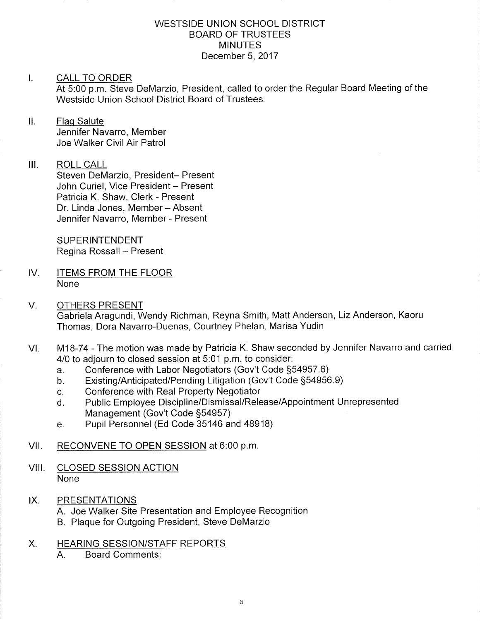### WESTSIDE UNION SCHOOL DISTRICT BOARD OF TRUSTEES **MINUTES** December 5, 2017

## I. CALL TO ORDER

At 5:00 p.m. Steve DeMarzio, President, called to order the Regular Board Meeting of the Westside Union School District Board of Trustees.

## II. Flag Salute

Jennifer Navarro, Member Joe Walker Civil Air Patrol

## III. ROLL CALL

Steven DeMarzio, President- Present John Curiel, Vice President - Present Patricia K. Shaw, Clerk - Present Dr. Linda Jones, Member - Absent Jennifer Navarro, Member - Present

SUPERINTENDENT Regina Rossall - Present

- IV. ITEMS FROM THE FLOOR None
- V. OTHERS PRESENT Gabriela Aragundi, Wendy Richman, Reyna Smith, Matt Anderson, Liz Anderson, Kaoru Thomas, Dora Navarro-Duenas, Courtney Phelan, Marisa Yudin
- VI. M18-74 The motion was made by Patricia K. Shaw seconded by Jennifer Navarro and carried 4/0 to adjourn to closed session at  $5:01$  p.m. to consider:<br>a. Conference with Labor Negotiators (Gov't Code §54957.6)
	-
	- a. Conference with Labor Negotiators (Gov't Code §54957.6)<br>b. Existing/Anticipated/Pending Litigation (Gov't Code §54956.9)
	-
	- c. Conference with Real Property Negotiator<br>d. Public Employee Discipline/Dismissal/Release/Appointment Unrepresented Management (Gov't Code S54957)
	- e. Pupil Personnel (Ed Code 35146 and 48918)
- VII. RECONVENE TO OPEN SESSION at 6:00 p.m.
- VIII. CLOSED SESSION ACTION None
- IX. PRESENTATIONS
	- A. Joe Walker Site Presentation and Employee Recognition
	- B. Plaque for Outgoing President, Steve DeMarzio
- X. HEARING SESSION/STAFF REPORTS
	- A. Board Comments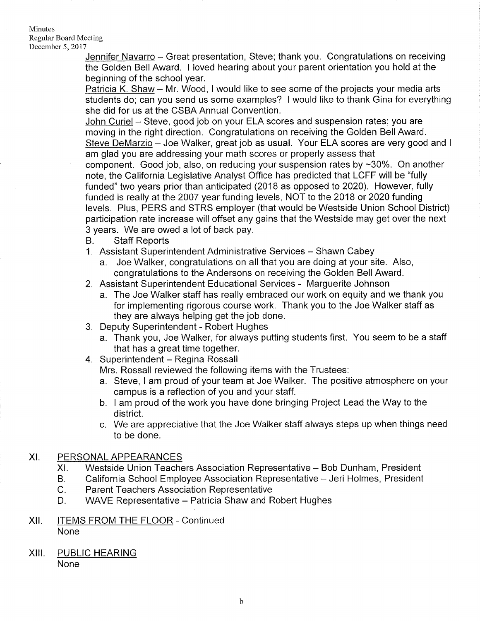#### **Minutes** Regular Board Meeting December 5,2017

Jennifer Navarro - Great presentation, Steve; thank you. Congratulations on receiving the Golden Bell Award. I loved hearing about your parent orientation you hold at the beginning of the school year.

Patricia K. Shaw - Mr. Wood, I would like to see some of the projects your media arts students do; can you send us some examples? I would like to thank Gina for everything she did for us at the CSBA Annual Convention.

John Curiel - Steve, good job on your ELA scores and suspension rates; you are moving in the right direction. Congratulations on receiving the Golden Bell Award. Steve DeMarzio - Joe Walker, great job as usual. Your ELA scores are very good and I am glad you are addressing your math scores or properly assess that component. Good job, also, on reducing your suspension rates by  $\sim$ 30%. On another note, the California Legislative Analyst Office has predicted that LCFF will be "fully funded" two years prior than anticipated (2018 as opposed to 2020). However, fully funded is really at the 2007 year funding levels, NOT to the 2018 or 2020 funding levels. Plus, PERS and STRS employer (that would be Westside Union School District) participation rate increase will offset any gains that the Westside may get over the next 3 years. We are owed a lot of back pay.<br>B. Staff Reports

- 
- 1. Assistant Superintendent Administrative Services Shawn Cabey
	- a. Joe Walker, congratulations on all that you are doing at your site. Also, congratulations to the Andersons on receiving the Golden Bell Award.
- 2. Assistant Superintendent Educational Services Marguerite Johnson
- a. The Joe Walker staff has really embraced our work on equity and we thank you for implementing rigorous course work. Thank you to the Joe Walker staff as they are always helping get the job done. 3. Deputy Superintendent - Robert Hughes
- - a. Thank you, Joe Walker, for always putting students first. You seem to be a staff that has a great time together.
- 4. Superintendent Regina Rossall

Mrs. Rossall reviewed the following items with the Trustees:

- a. Steve, I am proud of your team at Joe Walker. The positive atmosphere on your campus is a reflection of you and your staff. b. <sup>I</sup>am proud of the work you have done bringing Project Lead the Way to the
- district.
- c. We are appreciative that the Joe Walker staff always steps up when things need to be done.

## XI. PERSONAL APPEARANCES

- Westside Union Teachers Association Representative Bob Dunham, President XI
- California School Employee Association Representative Jeri Holmes, President B.
- Parent Teachers Association Representative c.
- WAVE Representative Patricia Shaw and Robert Hughes D.
- Xll. ITEMS FROM THE FLOOR Continued None
- XIII. PUBLIC HEARING None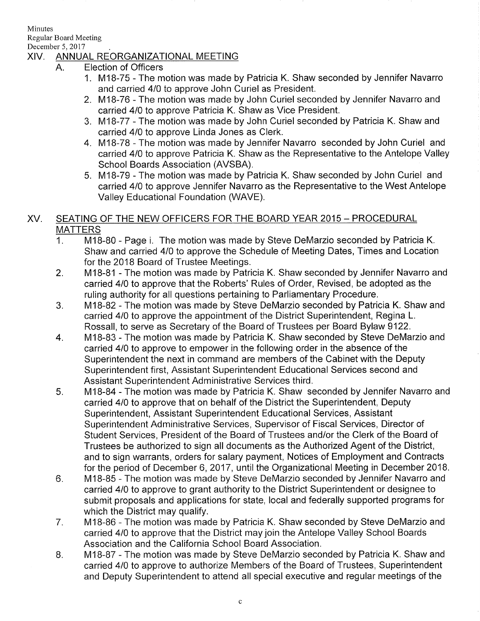Minutes

Regular Board Meeting December 5, 2017

# XIV. ANNUAL REORGANIZATIONAL MEETING

- A. Election of Officers
	- 1. M18-75 The motion was made by Patricia K. Shaw seconded by Jennifer Navarro and carried 410 to approve John Curiel as President.
	- 2. M18-76 The motion was made by John Curiel seconded by Jennifer Navarro and carried 410 to approve Patricia K. Shaw as Vice President.
	- 3. MlB-77 The motion was made by John Curiel seconded by Patricia K. Shaw and
	- carried 410 to approve Linda Jones as Clerk. 4. M1B-78 The motion was made by Jennifer Navarro seconded by John Curiel and carried 410 to approve Patricia K. Shaw as the Representative to the Antelope Valley School Boards Association (AVSBA).
	- 5. M1B-79 The motion was made by Patricia K. Shaw seconded by John Curiel and carried 410 to approve Jennifer Navarro as the Representative to the West Antelope Valley Educational Foundation (WAVE).

# XV. SEATING OF THE NEW OFFICERS FOR THE BOARD YEAR 2015 - PROCEDURAL MATTERS

- <sup>I</sup>. M1B-80 Page i. The motion was made by Steve DeMarzio seconded by Patricia K. Shaw and carried 410 to approve the Schedule of Meeting Dates, Times and Location
- for the 2018 Board of Trustee Meetings. 2. M18-81 The motion was made by Patricia K. Shaw seconded by Jennifer Navarro and carried 4/0 to approve that the Roberts' Rules of Order, Revised, be adopted as the ruling authority for all questions pertaining to Parliamentary Procedure.
- 3. M18-82 The motion was made by Steve DeMarzio seconded by Patricia K. Shaw and carried 410 to approve the appointment of the District Superintendent, Regina L. Rossall, to serve as Secretary of the Board of Trustees per Board Bylaw 9122. 4. M18-83 - The motion was made by Patricia K. Shaw seconded by Steve DeMarzio and
- carried 4/0 to approve to empower in the following order in the absence of the Superintendent the next in command are members of the Cabinet with the Deputy Superintendent first, Assistant Superintendent Educational Services second and Assistant Superintendent Administrative Services third.<br>5. M18-84 - The motion was made by Patricia K. Shaw seconded by Jennifer Navarro and
- carried 410 to approve that on behalf of the District the Superintendent, Deputy Superintendent, Assistant Superintendent Educational Services, Assistant Superintendent Administrative Services, Supervisor of Fiscal Services, Director of Student Services, President of the Board of Trustees and/or the Clerk of the Board of Trustees be authorized to sign all documents as the Authorized Agent of the District, and to sign warrants, orders for salary payment, Notices of Employment and Contracts for the period of December 6, 2017, until the Organizational Meeting in December 2018.
- 6. M18-85 The motion was made by Steve DeMarzio seconded by Jennifer Navarro and carried 410 to approve to grant authority to the District Superintendent or designee to submit proposals and applications for state, local and federally supported programs for which the District may qualify.<br>7. M18-86 - The motion was made by Patricia K. Shaw seconded by Steve DeMarzio and
- carried 410 to approve that the District may join the Antelope Valley School Boards Association and the California School Board Association.
- 8. M1B-87 The motion was made by Steve DeMarzio seconded by Patricia K. Shaw and carried 4/0 to approve to authorize Members of the Board of Trustees, Superintendent and Deputy Superintendent to attend all special executive and regular meetings of the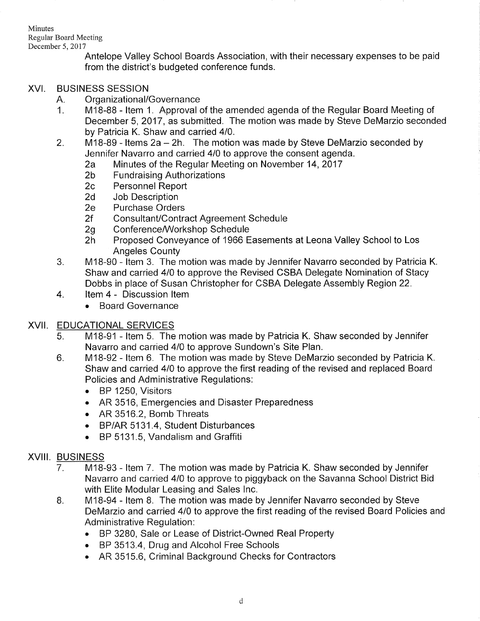Minutes Regular Board Meeting December 5,2017

Antelope Valley School Boards Association, with their necessary expenses to be paid from the district's budgeted conference funds.

# XVI. BUSINESS SESSION

- 
- A. Organizational/Governance<br>1. M18-88 Item 1. Approval of the amended agenda of the Regular Board Meeting of December 5, 2017 , as submitted. The motion was made by Steve DeMarzio seconded
- by Patricia K. Shaw and carried 4/0.<br>2. M18-89 Items 2a 2h. The motion was made by Steve DeMarzio seconded by<br>19. Jennifer Navarro and carried 4/0 to approve the consent agenda.
	- 2a Minutes of the Regular Meeting on November 14, 2017<br>
	2b Fundraising Authorizations<br>
	2c Personnel Report<br>
	2d Job Description<br>
	2e Purchase Orders
	-
	-
	-
	-
	-
	-
	- 2f Consultant/Contract Agreement Schedule<br>2g Conference/Workshop Schedule<br>2h Proposed Conveyance of 1966 Easements at Leona Valley School to Los
- Angeles County<br>3. M18-90 Item 3. The motion was made by Jennifer Navarro seconded by Patricia K. Shaw and carried 410 to approve the Revised CSBA Delegate Nomination of Stacy Dobbs in place of Susan Christopher for CSBA Delegate Assembly Region 22. 4. ltem 4 - Discussion ltem
- - . Board Governance

# XVII. EDUCATIONAL SERVICES

- M18-91 ltem 5. The motion was made by Patricia K. Shaw seconded by Jennifer Navarro and carried 410 to approve Sundown's Site Plan. 5
- M18-92 Item 6. The motion was made by Steve DeMarzio seconded by Patricia K. Shaw and carried 410 to approve the first reading of the revised and replaced Board Policies and Administrative Regulations: 6
	- . BP 1250, Visitors
	- . AR 3516, Emergencies and Disaster Preparedness
	- . AR 3516.2, Bomb Threats
	- BP/AR 5131.4, Student Disturbances
	- . BP 5131.5, Vandalism and Graffiti

# XVIII. BUSINESS

- 7 M18-93 - ltem 7. The motion was made by Patricia K. Shaw seconded by Jennifer Navarro and carried 410 to approve to piggyback on the Savanna School District Bid with Elite Modular Leasing and Sales lnc.
- B M1B-94 - ltem B. The motion was made by Jennifer Navarro seconded by Steve DeMarzio and carried 410 to approve the first reading of the revised Board Policies and Administrative Regulation:
	- . BP 3280, Sale or Lease of District-Owned Real Property
	- BP 3513.4, Drug and Alcohol Free Schools
	- . AR 3515.6, Criminal Background Checks for Contractors